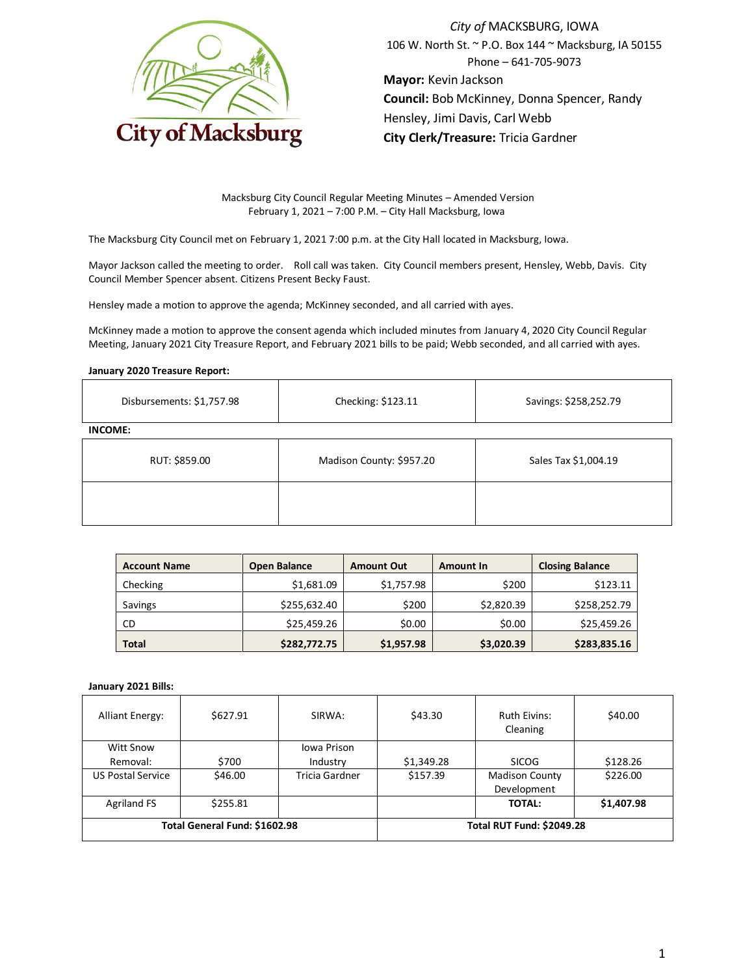

*City of* MACKSBURG, IOWA 106 W. North St. ~ P.O. Box 144 ~ Macksburg, IA 50155 Phone – 641-705-9073 **Mayor:** Kevin Jackson **Council:** Bob McKinney, Donna Spencer, Randy Hensley, Jimi Davis, Carl Webb **City Clerk/Treasure:** Tricia Gardner

Macksburg City Council Regular Meeting Minutes – Amended Version February 1, 2021 – 7:00 P.M. – City Hall Macksburg, Iowa

The Macksburg City Council met on February 1, 2021 7:00 p.m. at the City Hall located in Macksburg, Iowa.

Mayor Jackson called the meeting to order. Roll call was taken. City Council members present, Hensley, Webb, Davis. City Council Member Spencer absent. Citizens Present Becky Faust.

Hensley made a motion to approve the agenda; McKinney seconded, and all carried with ayes.

McKinney made a motion to approve the consent agenda which included minutes from January 4, 2020 City Council Regular Meeting, January 2021 City Treasure Report, and February 2021 bills to be paid; Webb seconded, and all carried with ayes.

### **January 2020 Treasure Report:**

| Disbursements: \$1,757.98 | Checking: \$123.11       | Savings: \$258,252.79 |  |
|---------------------------|--------------------------|-----------------------|--|
| <b>INCOME:</b>            |                          |                       |  |
| RUT: \$859.00             | Madison County: \$957.20 | Sales Tax \$1,004.19  |  |
|                           |                          |                       |  |

| <b>Account Name</b> | <b>Open Balance</b> | <b>Amount Out</b> | Amount In  | <b>Closing Balance</b> |
|---------------------|---------------------|-------------------|------------|------------------------|
| Checking            | \$1,681.09          | \$1,757.98        | \$200      | \$123.11               |
| Savings             | \$255,632.40        | \$200             | \$2,820.39 | \$258,252.79           |
| CD                  | \$25,459.26         | \$0.00            | \$0.00     | \$25,459.26            |
| <b>Total</b>        | \$282,772.75        | \$1,957.98        | \$3,020.39 | \$283,835.16           |

#### **January 2021 Bills:**

| <b>Alliant Energy:</b>        | \$627.91 | SIRWA:                           | \$43.30    | <b>Ruth Eivins:</b><br>Cleaning      | \$40.00    |
|-------------------------------|----------|----------------------------------|------------|--------------------------------------|------------|
| <b>Witt Snow</b>              |          | Iowa Prison                      |            |                                      |            |
| Removal:                      | \$700    | Industry                         | \$1,349.28 | <b>SICOG</b>                         | \$128.26   |
| <b>US Postal Service</b>      | \$46.00  | Tricia Gardner                   | \$157.39   | <b>Madison County</b><br>Development | \$226.00   |
| <b>Agriland FS</b>            | \$255.81 |                                  |            | <b>TOTAL:</b>                        | \$1,407.98 |
| Total General Fund: \$1602.98 |          | <b>Total RUT Fund: \$2049.28</b> |            |                                      |            |